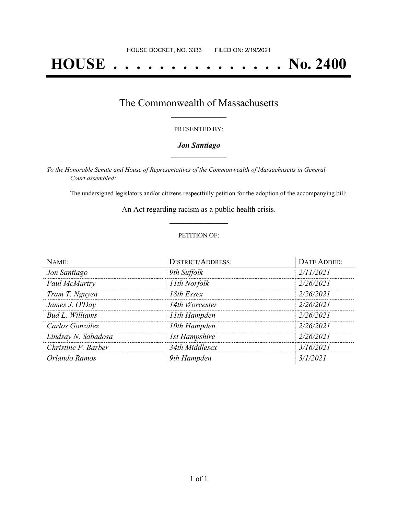# **HOUSE . . . . . . . . . . . . . . . No. 2400**

### The Commonwealth of Massachusetts **\_\_\_\_\_\_\_\_\_\_\_\_\_\_\_\_\_**

#### PRESENTED BY:

#### *Jon Santiago* **\_\_\_\_\_\_\_\_\_\_\_\_\_\_\_\_\_**

*To the Honorable Senate and House of Representatives of the Commonwealth of Massachusetts in General Court assembled:*

The undersigned legislators and/or citizens respectfully petition for the adoption of the accompanying bill:

An Act regarding racism as a public health crisis. **\_\_\_\_\_\_\_\_\_\_\_\_\_\_\_**

#### PETITION OF:

| NAME:               | DISTRICT/ADDRESS:    | DATE ADDED: |
|---------------------|----------------------|-------------|
| Jon Santiago        | 9th Suffolk          | 2/11/2021   |
| Paul McMurtry       | 11th Norfolk         | 2/26/2021   |
| Tram T. Nguyen      | 18th Essex           | 2/26/2021   |
| James J. O'Day      | 14th Worcester       | 2/26/2021   |
| Bud L. Williams     | 11th Hampden         | 2/26/2021   |
| Carlos González     | 10th Hampden         | 2/26/2021   |
| Lindsay N. Sabadosa | <b>1st Hampshire</b> | 2/26/2021   |
| Christine P. Barber | 34th Middlesex       | 3/16/2021   |
| Orlando Ramos       | 9th Hampden          | 3/1/2021    |